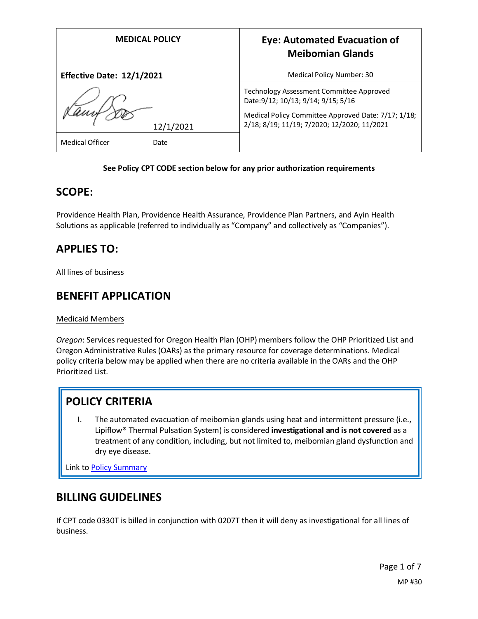| <b>MEDICAL POLICY</b>     |           | <b>Eye: Automated Evacuation of</b><br><b>Meibomian Glands</b>                                                                                                                        |
|---------------------------|-----------|---------------------------------------------------------------------------------------------------------------------------------------------------------------------------------------|
| Effective Date: 12/1/2021 |           | Medical Policy Number: 30                                                                                                                                                             |
|                           | 12/1/2021 | Technology Assessment Committee Approved<br>Date: 9/12; 10/13; 9/14; 9/15; 5/16<br>Medical Policy Committee Approved Date: 7/17; 1/18;<br>2/18; 8/19; 11/19; 7/2020; 12/2020; 11/2021 |
| <b>Medical Officer</b>    | Date      |                                                                                                                                                                                       |

#### **See Policy CPT CODE section below for any prior authorization requirements**

### **SCOPE:**

Providence Health Plan, Providence Health Assurance, Providence Plan Partners, and Ayin Health Solutions as applicable (referred to individually as "Company" and collectively as "Companies").

## **APPLIES TO:**

All lines of business

### **BENEFIT APPLICATION**

Medicaid Members

*Oregon*: Services requested for Oregon Health Plan (OHP) members follow the OHP Prioritized List and Oregon Administrative Rules (OARs) as the primary resource for coverage determinations. Medical policy criteria below may be applied when there are no criteria available in the OARs and the OHP Prioritized List.

## **POLICY CRITERIA**

I. The automated evacuation of meibomian glands using heat and intermittent pressure (i.e., Lipiflow® Thermal Pulsation System) is considered **investigational and is not covered** as a treatment of any condition, including, but not limited to, meibomian gland dysfunction and dry eye disease.

Link t[o Policy Summary](#page-5-0)

## **BILLING GUIDELINES**

If CPT code 0330T is billed in conjunction with 0207T then it will deny as investigational for all lines of business.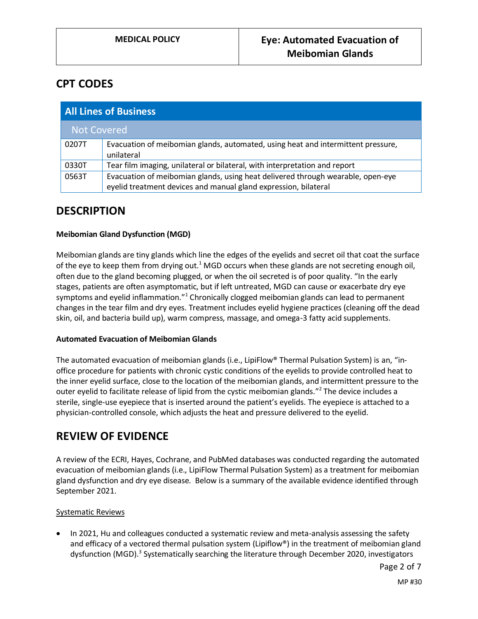## **CPT CODES**

| <b>All Lines of Business</b> |                                                                                                                                                    |  |
|------------------------------|----------------------------------------------------------------------------------------------------------------------------------------------------|--|
| <b>Not Covered</b>           |                                                                                                                                                    |  |
| 0207T                        | Evacuation of meibomian glands, automated, using heat and intermittent pressure,<br>unilateral                                                     |  |
| 0330T                        | Tear film imaging, unilateral or bilateral, with interpretation and report                                                                         |  |
| 0563T                        | Evacuation of meibomian glands, using heat delivered through wearable, open-eye<br>eyelid treatment devices and manual gland expression, bilateral |  |

### **DESCRIPTION**

#### **Meibomian Gland Dysfunction (MGD)**

Meibomian glands are tiny glands which line the edges of the eyelids and secret oil that coat the surface of the eye to keep them from drying out.<sup>1</sup> MGD occurs when these glands are not secreting enough oil, often due to the gland becoming plugged, or when the oil secreted is of poor quality. "In the early stages, patients are often asymptomatic, but if left untreated, MGD can cause or exacerbate dry eye symptoms and eyelid inflammation."<sup>1</sup> Chronically clogged meibomian glands can lead to permanent changes in the tear film and dry eyes. Treatment includes eyelid hygiene practices (cleaning off the dead skin, oil, and bacteria build up), warm compress, massage, and omega-3 fatty acid supplements.

#### **Automated Evacuation of Meibomian Glands**

The automated evacuation of meibomian glands (i.e., LipiFlow® Thermal Pulsation System) is an, "inoffice procedure for patients with chronic cystic conditions of the eyelids to provide controlled heat to the inner eyelid surface, close to the location of the meibomian glands, and intermittent pressure to the outer eyelid to facilitate release of lipid from the cystic meibomian glands."<sup>2</sup> The device includes a sterile, single-use eyepiece that is inserted around the patient's eyelids. The eyepiece is attached to a physician-controlled console, which adjusts the heat and pressure delivered to the eyelid.

## **REVIEW OF EVIDENCE**

A review of the ECRI, Hayes, Cochrane, and PubMed databases was conducted regarding the automated evacuation of meibomian glands (i.e., LipiFlow Thermal Pulsation System) as a treatment for meibomian gland dysfunction and dry eye disease. Below is a summary of the available evidence identified through September 2021.

### Systematic Reviews

• In 2021, Hu and colleagues conducted a systematic review and meta-analysis assessing the safety and efficacy of a vectored thermal pulsation system (Lipiflow®) in the treatment of meibomian gland dysfunction (MGD).<sup>3</sup> Systematically searching the literature through December 2020, investigators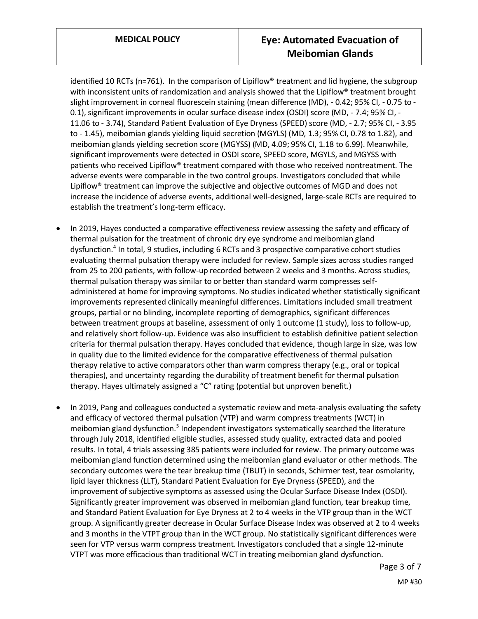identified 10 RCTs (n=761). In the comparison of Lipiflow<sup>®</sup> treatment and lid hygiene, the subgroup with inconsistent units of randomization and analysis showed that the Lipiflow<sup>®</sup> treatment brought slight improvement in corneal fluorescein staining (mean difference (MD), - 0.42; 95% CI, - 0.75 to - 0.1), significant improvements in ocular surface disease index (OSDI) score (MD, - 7.4; 95% CI, - 11.06 to - 3.74), Standard Patient Evaluation of Eye Dryness (SPEED) score (MD, - 2.7; 95% CI, - 3.95 to - 1.45), meibomian glands yielding liquid secretion (MGYLS) (MD, 1.3; 95% CI, 0.78 to 1.82), and meibomian glands yielding secretion score (MGYSS) (MD, 4.09; 95% CI, 1.18 to 6.99). Meanwhile, significant improvements were detected in OSDI score, SPEED score, MGYLS, and MGYSS with patients who received Lipiflow® treatment compared with those who received nontreatment. The adverse events were comparable in the two control groups. Investigators concluded that while Lipiflow® treatment can improve the subjective and objective outcomes of MGD and does not increase the incidence of adverse events, additional well-designed, large-scale RCTs are required to establish the treatment's long-term efficacy.

- In 2019, Hayes conducted a comparative effectiveness review assessing the safety and efficacy of thermal pulsation for the treatment of chronic dry eye syndrome and meibomian gland dysfunction.<sup>4</sup> In total, 9 studies, including 6 RCTs and 3 prospective comparative cohort studies evaluating thermal pulsation therapy were included for review. Sample sizes across studies ranged from 25 to 200 patients, with follow-up recorded between 2 weeks and 3 months. Across studies, thermal pulsation therapy was similar to or better than standard warm compresses selfadministered at home for improving symptoms. No studies indicated whether statistically significant improvements represented clinically meaningful differences. Limitations included small treatment groups, partial or no blinding, incomplete reporting of demographics, significant differences between treatment groups at baseline, assessment of only 1 outcome (1 study), loss to follow-up, and relatively short follow-up. Evidence was also insufficient to establish definitive patient selection criteria for thermal pulsation therapy. Hayes concluded that evidence, though large in size, was low in quality due to the limited evidence for the comparative effectiveness of thermal pulsation therapy relative to active comparators other than warm compress therapy (e.g., oral or topical therapies), and uncertainty regarding the durability of treatment benefit for thermal pulsation therapy. Hayes ultimately assigned a "C" rating (potential but unproven benefit.)
- In 2019, Pang and colleagues conducted a systematic review and meta-analysis evaluating the safety and efficacy of vectored thermal pulsation (VTP) and warm compress treatments (WCT) in meibomian gland dysfunction.<sup>5</sup> Independent investigators systematically searched the literature through July 2018, identified eligible studies, assessed study quality, extracted data and pooled results. In total, 4 trials assessing 385 patients were included for review. The primary outcome was meibomian gland function determined using the meibomian gland evaluator or other methods. The secondary outcomes were the tear breakup time (TBUT) in seconds, Schirmer test, tear osmolarity, lipid layer thickness (LLT), Standard Patient Evaluation for Eye Dryness (SPEED), and the improvement of subjective symptoms as assessed using the Ocular Surface Disease Index (OSDI). Significantly greater improvement was observed in meibomian gland function, tear breakup time, and Standard Patient Evaluation for Eye Dryness at 2 to 4 weeks in the VTP group than in the WCT group. A significantly greater decrease in Ocular Surface Disease Index was observed at 2 to 4 weeks and 3 months in the VTPT group than in the WCT group. No statistically significant differences were seen for VTP versus warm compress treatment. Investigators concluded that a single 12-minute VTPT was more efficacious than traditional WCT in treating meibomian gland dysfunction.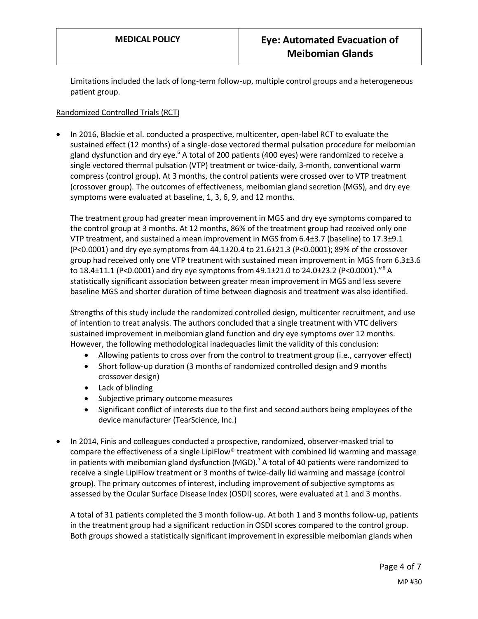Limitations included the lack of long-term follow-up, multiple control groups and a heterogeneous patient group.

#### Randomized Controlled Trials (RCT)

• In 2016, Blackie et al. conducted a prospective, multicenter, open-label RCT to evaluate the sustained effect (12 months) of a single-dose vectored thermal pulsation procedure for meibomian gland dysfunction and dry eye. $6$  A total of 200 patients (400 eyes) were randomized to receive a single vectored thermal pulsation (VTP) treatment or twice-daily, 3-month, conventional warm compress (control group). At 3 months, the control patients were crossed over to VTP treatment (crossover group). The outcomes of effectiveness, meibomian gland secretion (MGS), and dry eye symptoms were evaluated at baseline, 1, 3, 6, 9, and 12 months.

The treatment group had greater mean improvement in MGS and dry eye symptoms compared to the control group at 3 months. At 12 months, 86% of the treatment group had received only one VTP treatment, and sustained a mean improvement in MGS from 6.4±3.7 (baseline) to 17.3±9.1 (P<0.0001) and dry eye symptoms from 44.1±20.4 to 21.6±21.3 (P<0.0001); 89% of the crossover group had received only one VTP treatment with sustained mean improvement in MGS from 6.3±3.6 to 18.4±11.1 (P<0.0001) and dry eye symptoms from 49.1±21.0 to 24.0±23.2 (P<0.0001)."<sup>6</sup> A statistically significant association between greater mean improvement in MGS and less severe baseline MGS and shorter duration of time between diagnosis and treatment was also identified.

Strengths of this study include the randomized controlled design, multicenter recruitment, and use of intention to treat analysis. The authors concluded that a single treatment with VTC delivers sustained improvement in meibomian gland function and dry eye symptoms over 12 months. However, the following methodological inadequacies limit the validity of this conclusion:

- Allowing patients to cross over from the control to treatment group (i.e., carryover effect)
- Short follow-up duration (3 months of randomized controlled design and 9 months crossover design)
- Lack of blinding
- Subjective primary outcome measures
- Significant conflict of interests due to the first and second authors being employees of the device manufacturer (TearScience, Inc.)
- In 2014, Finis and colleagues conducted a prospective, randomized, observer-masked trial to compare the effectiveness of a single LipiFlow<sup>®</sup> treatment with combined lid warming and massage in patients with meibomian gland dysfunction (MGD).<sup>7</sup> A total of 40 patients were randomized to receive a single LipiFlow treatment or 3 months of twice-daily lid warming and massage (control group). The primary outcomes of interest, including improvement of subjective symptoms as assessed by the Ocular Surface Disease Index (OSDI) scores, were evaluated at 1 and 3 months.

A total of 31 patients completed the 3 month follow-up. At both 1 and 3 months follow-up, patients in the treatment group had a significant reduction in OSDI scores compared to the control group. Both groups showed a statistically significant improvement in expressible meibomian glands when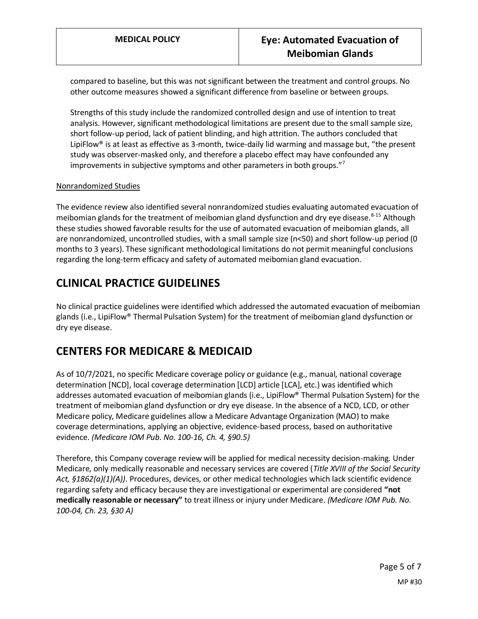compared to baseline, but this was not significant between the treatment and control groups. No other outcome measures showed a significant difference from baseline or between groups.

Strengths of this study include the randomized controlled design and use of intention to treat analysis. However, significant methodological limitations are present due to the small sample size, short follow-up period, lack of patient blinding, and high attrition. The authors concluded that LipiFlow® is at least as effective as 3-month, twice-daily lid warming and massage but, "the present study was observer-masked only, and therefore a placebo effect may have confounded any improvements in subjective symptoms and other parameters in both groups."<sup>7</sup>

#### Nonrandomized Studies

The evidence review also identified several nonrandomized studies evaluating automated evacuation of meibomian glands for the treatment of meibomian gland dysfunction and dry eye disease.<sup>8-15</sup> Although these studies showed favorable results for the use of automated evacuation of meibomian glands, all are nonrandomized, uncontrolled studies, with a small sample size (n<50) and short follow-up period (0 months to 3 years). These significant methodological limitations do not permit meaningful conclusions regarding the long-term efficacy and safety of automated meibomian gland evacuation.

# **CLINICAL PRACTICE GUIDELINES**

No clinical practice guidelines were identified which addressed the automated evacuation of meibomian glands (i.e., LipiFlow® Thermal Pulsation System) for the treatment of meibomian gland dysfunction or dry eye disease.

# **CENTERS FOR MEDICARE & MEDICAID**

As of 10/7/2021, no specific Medicare coverage policy or guidance (e.g., manual, national coverage determination [NCD], local coverage determination [LCD] article [LCA], etc.) was identified which addresses automated evacuation of meibomian glands (i.e., LipiFlow® Thermal Pulsation System) for the treatment of meibomian gland dysfunction or dry eye disease. In the absence of a NCD, LCD, or other Medicare policy, Medicare guidelines allow a Medicare Advantage Organization (MAO) to make coverage determinations, applying an objective, evidence-based process, based on authoritative evidence. *(Medicare IOM Pub. No. 100-16, Ch. 4, §90.5)*

Therefore, this Company coverage review will be applied for medical necessity decision-making*.* Under Medicare, only medically reasonable and necessary services are covered (*Title XVIII of the Social Security Act, §1862(a)(1)(A))*. Procedures, devices, or other medical technologies which lack scientific evidence regarding safety and efficacy because they are investigational or experimental are considered **"not medically reasonable or necessary"** to treat illness or injury under Medicare. *(Medicare IOM Pub. No. 100-04, Ch. 23, §30 A)*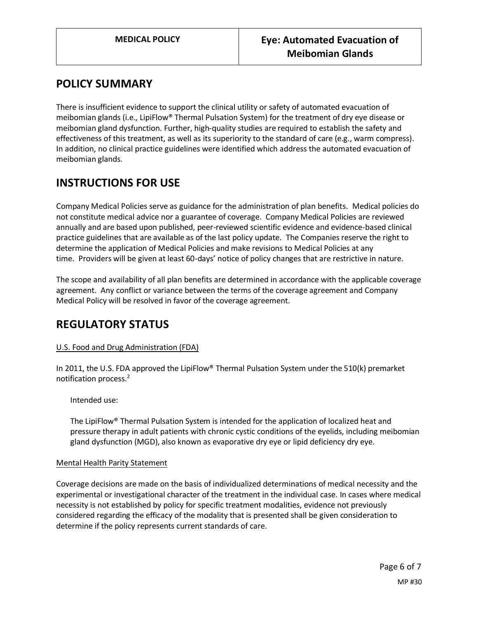## <span id="page-5-0"></span>**POLICY SUMMARY**

There is insufficient evidence to support the clinical utility or safety of automated evacuation of meibomian glands (i.e., LipiFlow® Thermal Pulsation System) for the treatment of dry eye disease or meibomian gland dysfunction. Further, high-quality studies are required to establish the safety and effectiveness of this treatment, as well as its superiority to the standard of care (e.g., warm compress). In addition, no clinical practice guidelines were identified which address the automated evacuation of meibomian glands.

# **INSTRUCTIONS FOR USE**

Company Medical Policies serve as guidance for the administration of plan benefits. Medical policies do not constitute medical advice nor a guarantee of coverage. Company Medical Policies are reviewed annually and are based upon published, peer-reviewed scientific evidence and evidence-based clinical practice guidelines that are available as of the last policy update. The Companies reserve the right to determine the application of Medical Policies and make revisions to Medical Policies at any time. Providers will be given at least 60-days' notice of policy changes that are restrictive in nature.

The scope and availability of all plan benefits are determined in accordance with the applicable coverage agreement. Any conflict or variance between the terms of the coverage agreement and Company Medical Policy will be resolved in favor of the coverage agreement.

## **REGULATORY STATUS**

### U.S. Food and Drug Administration (FDA)

In 2011, the U.S. FDA approved the LipiFlow® Thermal Pulsation System under the 510(k) premarket notification process.<sup>2</sup>

Intended use:

The LipiFlow® Thermal Pulsation System is intended for the application of localized heat and pressure therapy in adult patients with chronic cystic conditions of the eyelids, including meibomian gland dysfunction (MGD), also known as evaporative dry eye or lipid deficiency dry eye.

#### Mental Health Parity Statement

Coverage decisions are made on the basis of individualized determinations of medical necessity and the experimental or investigational character of the treatment in the individual case. In cases where medical necessity is not established by policy for specific treatment modalities, evidence not previously considered regarding the efficacy of the modality that is presented shall be given consideration to determine if the policy represents current standards of care.